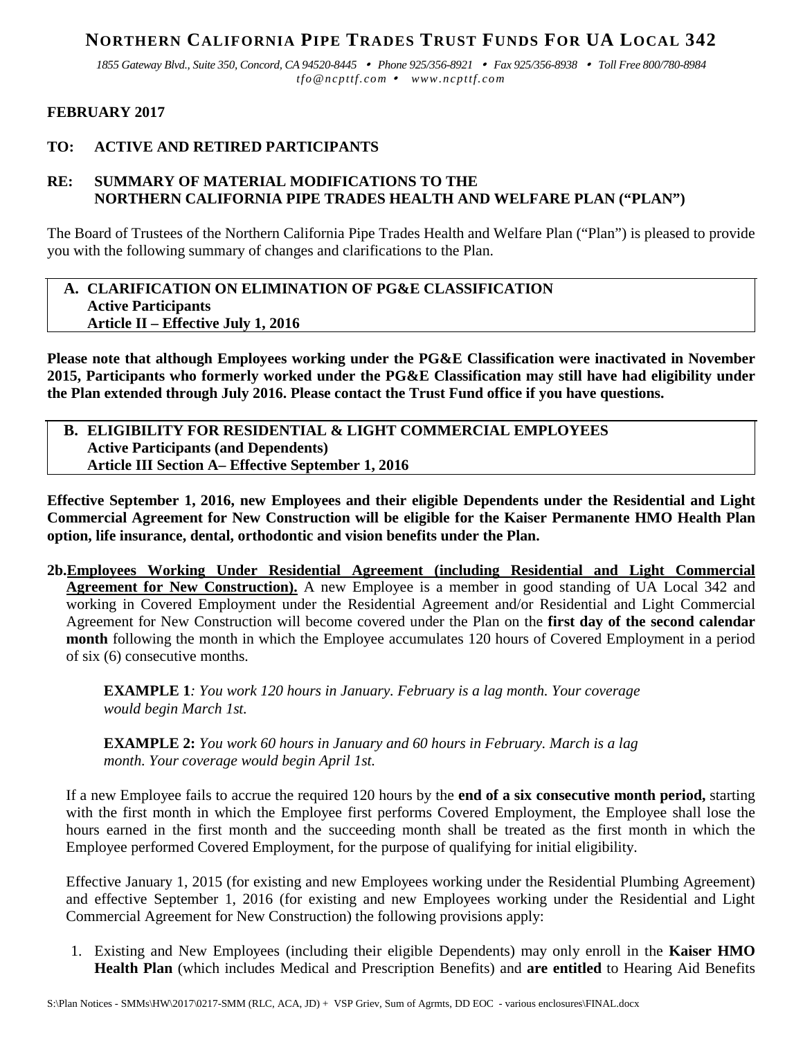## **NORTHERN CALIFORNIA PIPE TRADES TRUST FUNDS FOR UA LOCAL 342**

*1855 Gateway Blvd., Suite 350, Concord, CA 94520-8445 Phone 925/356-8921 Fax 925/356-8938 Toll Free 800/780-8984 tfo@ncpttf.com www.ncpttf.com*

## **FEBRUARY 2017**

## **TO: ACTIVE AND RETIRED PARTICIPANTS**

## **RE: SUMMARY OF MATERIAL MODIFICATIONS TO THE NORTHERN CALIFORNIA PIPE TRADES HEALTH AND WELFARE PLAN ("PLAN")**

The Board of Trustees of the Northern California Pipe Trades Health and Welfare Plan ("Plan") is pleased to provide you with the following summary of changes and clarifications to the Plan.

## **A. CLARIFICATION ON ELIMINATION OF PG&E CLASSIFICATION Active Participants Article II – Effective July 1, 2016**

**Please note that although Employees working under the PG&E Classification were inactivated in November 2015, Participants who formerly worked under the PG&E Classification may still have had eligibility under the Plan extended through July 2016. Please contact the Trust Fund office if you have questions.**

**B. ELIGIBILITY FOR RESIDENTIAL & LIGHT COMMERCIAL EMPLOYEES Active Participants (and Dependents) Article III Section A– Effective September 1, 2016**

**Effective September 1, 2016, new Employees and their eligible Dependents under the Residential and Light Commercial Agreement for New Construction will be eligible for the Kaiser Permanente HMO Health Plan option, life insurance, dental, orthodontic and vision benefits under the Plan.**

**2b.Employees Working Under Residential Agreement (including Residential and Light Commercial Agreement for New Construction).** A new Employee is a member in good standing of UA Local 342 and working in Covered Employment under the Residential Agreement and/or Residential and Light Commercial Agreement for New Construction will become covered under the Plan on the **first day of the second calendar month** following the month in which the Employee accumulates 120 hours of Covered Employment in a period of six (6) consecutive months.

**EXAMPLE 1***: You work 120 hours in January. February is a lag month. Your coverage would begin March 1st.*

**EXAMPLE 2:** *You work 60 hours in January and 60 hours in February. March is a lag month. Your coverage would begin April 1st.*

If a new Employee fails to accrue the required 120 hours by the **end of a six consecutive month period,** starting with the first month in which the Employee first performs Covered Employment, the Employee shall lose the hours earned in the first month and the succeeding month shall be treated as the first month in which the Employee performed Covered Employment, for the purpose of qualifying for initial eligibility.

Effective January 1, 2015 (for existing and new Employees working under the Residential Plumbing Agreement) and effective September 1, 2016 (for existing and new Employees working under the Residential and Light Commercial Agreement for New Construction) the following provisions apply:

1. Existing and New Employees (including their eligible Dependents) may only enroll in the **Kaiser HMO Health Plan** (which includes Medical and Prescription Benefits) and **are entitled** to Hearing Aid Benefits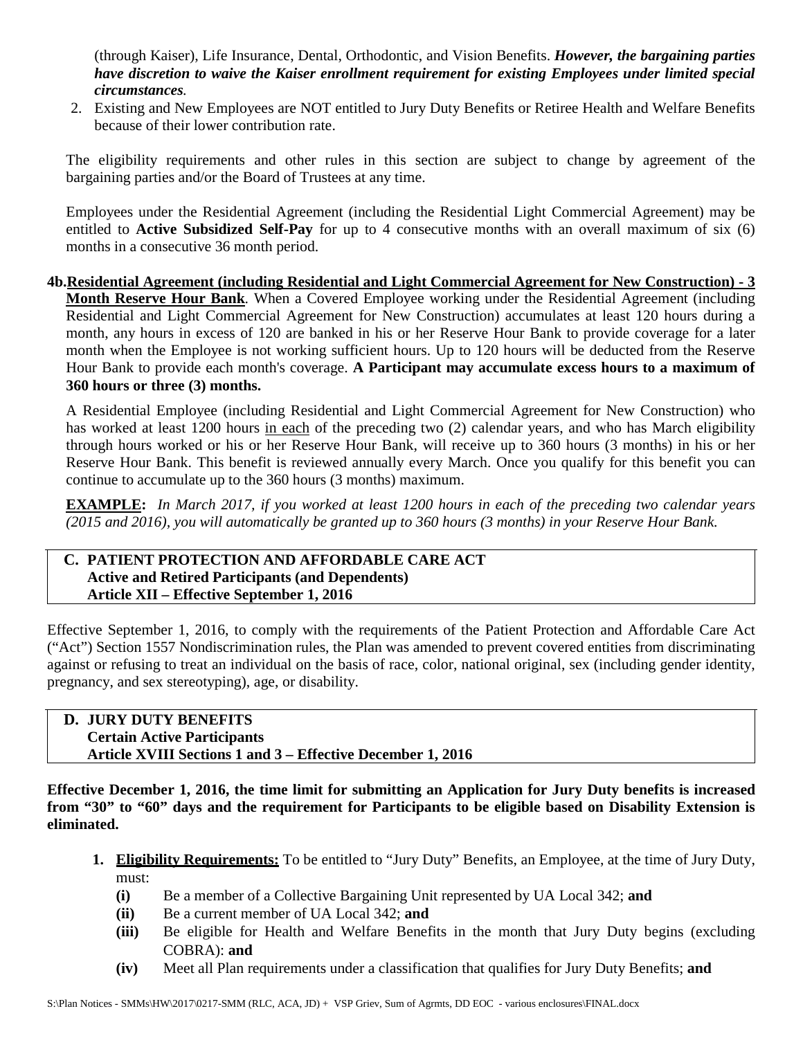(through Kaiser), Life Insurance, Dental, Orthodontic, and Vision Benefits. *However, the bargaining parties have discretion to waive the Kaiser enrollment requirement for existing Employees under limited special circumstances.*

2. Existing and New Employees are NOT entitled to Jury Duty Benefits or Retiree Health and Welfare Benefits because of their lower contribution rate.

The eligibility requirements and other rules in this section are subject to change by agreement of the bargaining parties and/or the Board of Trustees at any time.

Employees under the Residential Agreement (including the Residential Light Commercial Agreement) may be entitled to **Active Subsidized Self-Pay** for up to 4 consecutive months with an overall maximum of six (6) months in a consecutive 36 month period.

**4b.Residential Agreement (including Residential and Light Commercial Agreement for New Construction) - 3 Month Reserve Hour Bank**. When a Covered Employee working under the Residential Agreement (including Residential and Light Commercial Agreement for New Construction) accumulates at least 120 hours during a month, any hours in excess of 120 are banked in his or her Reserve Hour Bank to provide coverage for a later month when the Employee is not working sufficient hours. Up to 120 hours will be deducted from the Reserve Hour Bank to provide each month's coverage. **A Participant may accumulate excess hours to a maximum of 360 hours or three (3) months.**

A Residential Employee (including Residential and Light Commercial Agreement for New Construction) who has worked at least 1200 hours in each of the preceding two (2) calendar years, and who has March eligibility through hours worked or his or her Reserve Hour Bank, will receive up to 360 hours (3 months) in his or her Reserve Hour Bank. This benefit is reviewed annually every March. Once you qualify for this benefit you can continue to accumulate up to the 360 hours (3 months) maximum.

**EXAMPLE:** *In March 2017, if you worked at least 1200 hours in each of the preceding two calendar years (2015 and 2016), you will automatically be granted up to 360 hours (3 months) in your Reserve Hour Bank.*

## **C. PATIENT PROTECTION AND AFFORDABLE CARE ACT Active and Retired Participants (and Dependents) Article XII – Effective September 1, 2016**

Effective September 1, 2016, to comply with the requirements of the Patient Protection and Affordable Care Act ("Act") Section 1557 Nondiscrimination rules, the Plan was amended to prevent covered entities from discriminating against or refusing to treat an individual on the basis of race, color, national original, sex (including gender identity, pregnancy, and sex stereotyping), age, or disability.

**D. JURY DUTY BENEFITS Certain Active Participants Article XVIII Sections 1 and 3 – Effective December 1, 2016**

**Effective December 1, 2016, the time limit for submitting an Application for Jury Duty benefits is increased from "30" to "60" days and the requirement for Participants to be eligible based on Disability Extension is eliminated.**

- **1. Eligibility Requirements:** To be entitled to "Jury Duty" Benefits, an Employee, at the time of Jury Duty, must:
	- **(i)** Be a member of a Collective Bargaining Unit represented by UA Local 342; **and**
	- **(ii)** Be a current member of UA Local 342; **and**
	- **(iii)** Be eligible for Health and Welfare Benefits in the month that Jury Duty begins (excluding COBRA): **and**
	- **(iv)** Meet all Plan requirements under a classification that qualifies for Jury Duty Benefits; **and**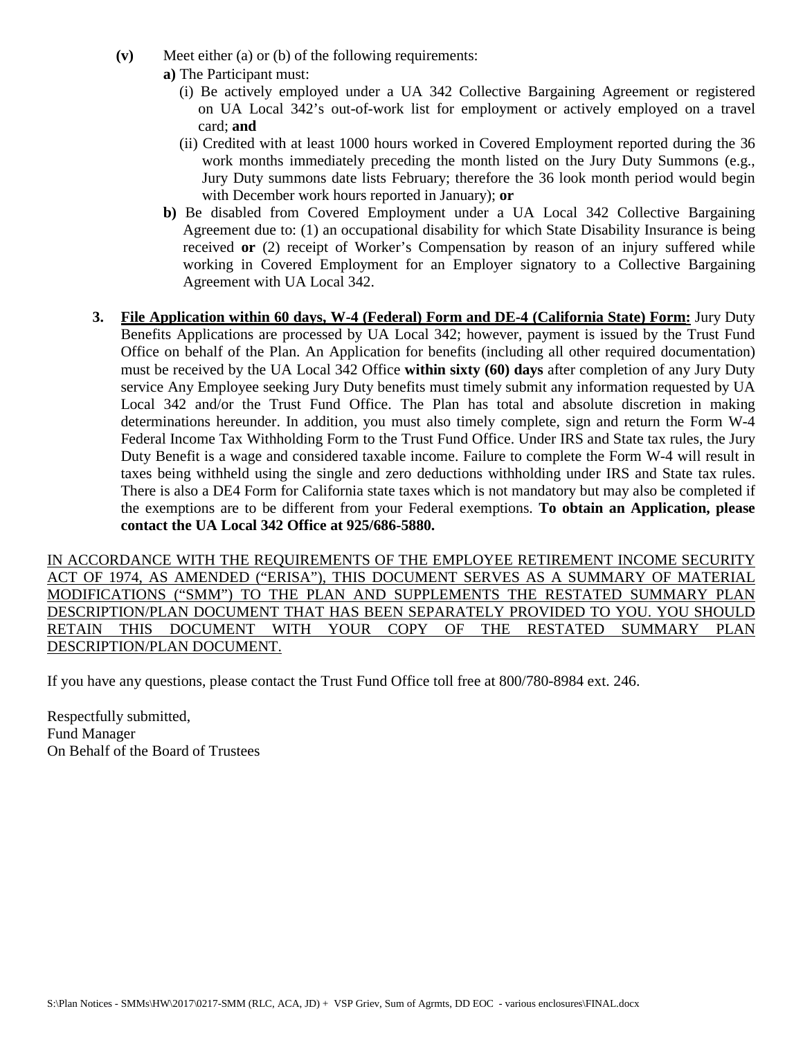- **(v)** Meet either (a) or (b) of the following requirements:
	- **a)** The Participant must:
		- (i) Be actively employed under a UA 342 Collective Bargaining Agreement or registered on UA Local 342's out-of-work list for employment or actively employed on a travel card; **and**
		- (ii) Credited with at least 1000 hours worked in Covered Employment reported during the 36 work months immediately preceding the month listed on the Jury Duty Summons (e.g., Jury Duty summons date lists February; therefore the 36 look month period would begin with December work hours reported in January); **or**
	- **b)** Be disabled from Covered Employment under a UA Local 342 Collective Bargaining Agreement due to: (1) an occupational disability for which State Disability Insurance is being received **or** (2) receipt of Worker's Compensation by reason of an injury suffered while working in Covered Employment for an Employer signatory to a Collective Bargaining Agreement with UA Local 342.
- **3. File Application within 60 days, W-4 (Federal) Form and DE-4 (California State) Form:** Jury Duty Benefits Applications are processed by UA Local 342; however, payment is issued by the Trust Fund Office on behalf of the Plan. An Application for benefits (including all other required documentation) must be received by the UA Local 342 Office **within sixty (60) days** after completion of any Jury Duty service Any Employee seeking Jury Duty benefits must timely submit any information requested by UA Local 342 and/or the Trust Fund Office. The Plan has total and absolute discretion in making determinations hereunder. In addition, you must also timely complete, sign and return the Form W-4 Federal Income Tax Withholding Form to the Trust Fund Office. Under IRS and State tax rules, the Jury Duty Benefit is a wage and considered taxable income. Failure to complete the Form W-4 will result in taxes being withheld using the single and zero deductions withholding under IRS and State tax rules. There is also a DE4 Form for California state taxes which is not mandatory but may also be completed if the exemptions are to be different from your Federal exemptions. **To obtain an Application, please contact the UA Local 342 Office at 925/686-5880.**

IN ACCORDANCE WITH THE REQUIREMENTS OF THE EMPLOYEE RETIREMENT INCOME SECURITY ACT OF 1974, AS AMENDED ("ERISA"), THIS DOCUMENT SERVES AS A SUMMARY OF MATERIAL MODIFICATIONS ("SMM") TO THE PLAN AND SUPPLEMENTS THE RESTATED SUMMARY PLAN DESCRIPTION/PLAN DOCUMENT THAT HAS BEEN SEPARATELY PROVIDED TO YOU. YOU SHOULD RETAIN THIS DOCUMENT WITH YOUR COPY OF THE RESTATED SUMMARY PLAN DESCRIPTION/PLAN DOCUMENT.

If you have any questions, please contact the Trust Fund Office toll free at 800/780-8984 ext. 246.

Respectfully submitted, Fund Manager On Behalf of the Board of Trustees